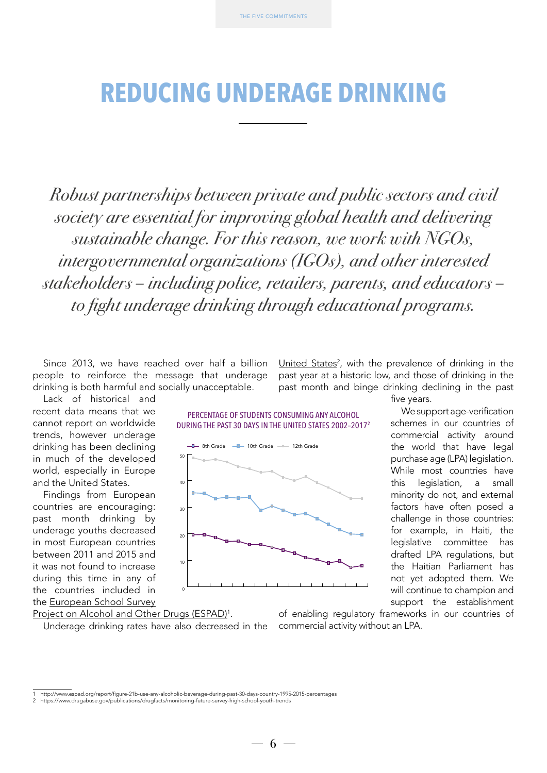### **REDUCING UNDERAGE DRINKING**

*Robust partnerships between private and public sectors and civil society are essential for improving global health and delivering sustainable change. For this reason, we work with NGOs, intergovernmental organizations (IGOs), and other interested stakeholders – including police, retailers, parents, and educators – to fight underage drinking through educational programs.* 

Since 2013, we have reached over half a billion people to reinforce the message that underage drinking is both harmful and socially unacceptable.

Lack of historical and recent data means that we cannot report on worldwide trends, however underage drinking has been declining in much of the developed world, especially in Europe and the United States.

Findings from European countries are encouraging: past month drinking by underage youths decreased in most European countries between 2011 and 2015 and it was not found to increase during this time in any of the countries included in the [European School Survey](http://www.espad.org/report/figure-21b-use-any-alcoholic-beverage-during-past-30-days-country-1995-2015-percentages)

Project on Alcohol and Other Drugs (ESPAD)<sup>1</sup>.

Underage drinking rates have also decreased in the

United States<sup>2</sup>, with the prevalence of drinking in the past year at a historic low, and those of drinking in the past month and binge drinking declining in the past

PERCENTAGE OF STUDENTS CONSUMING ANY ALCOHOL DURING THE PAST 30 DAYS IN THE UNITED STATES 2002–20172



five years.

We support age-verification schemes in our countries of commercial activity around the world that have legal purchase age (LPA) legislation. While most countries have this legislation, a small minority do not, and external factors have often posed a challenge in those countries: for example, in Haiti, the legislative committee has drafted LPA regulations, but the Haitian Parliament has not yet adopted them. We will continue to champion and support the establishment

of enabling regulatory frameworks in our countries of commercial activity without an LPA.

 $6 -$ 

<sup>1</sup> http://www.espad.org/report/figure-21b-use-any-alcoholic-beverage-during-past-30-days-country-1995-2015-percentages

<sup>2</sup> https://www.drugabuse.gov/publications/drugfacts/monitoring-future-survey-high-school-youth-trends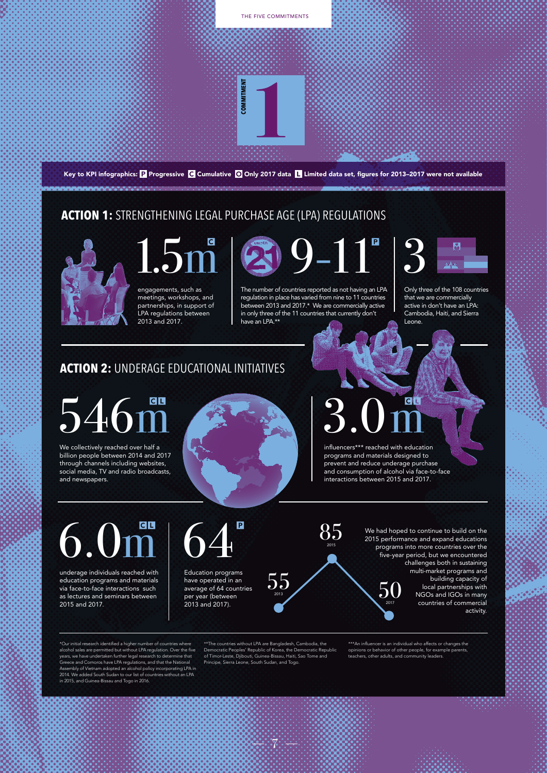

#### **ACTION 2:** UNDERAGE EDUCATIONAL INITIATIVES

# 546m

We collectively reached over half a billion people between 2014 and 2017 through channels including websites, social media, TV and radio broadcasts, and newspapers.



# 3.0m

influencers\*\*\* reached with education programs and materials designed to prevent and reduce underage purchase and consumption of alcohol via face-to-face interactions between 2015 and 2017.

6.0m

underage individuals reached with education programs and materials via face-to-face interactions such as lectures and seminars between 2015 and 2017.

64 Education programs

have operated in an average of 64 countries per year (between 2013 and 2017).

\*\*The countries without LPA are Bangladesh, Cambodia, the<br>Democratic Peoples' Republic of Korea, the Democratic Republic<br>of Timor-Leste, Djibouti, Guinea-Bissau, Haiti, Sao Tome and<br>Principe, Sierra Leone, South Sudan, and

 $55\,$ 

85

We had hoped to continue to build on the 2015 performance and expand educations programs into more countries over the five-year period, but we encountered challenges both in sustaining multi-market programs and building capacity of local partnerships with NGOs and IGOs in many countries of commercial activity.  $50$ 

\*\*\*An influencer is an individual who affects or changes the opinions or behavior of other people, for example parents, teachers, other adults, and community leaders.

\*Our initial research identified a higher n alcohol sales are permitted but without LPA regulation. Over the five years, we have undertaken further legal research to determine that Greece and Comoros have LPA regulations, and that the National Assembly of Vietnam adopted an alcohol policy incorporating LPA in 2014. We added South Sudan to our list of countries without an LPA in 2015, and Guinea-Bissau and Togo in 2016.

7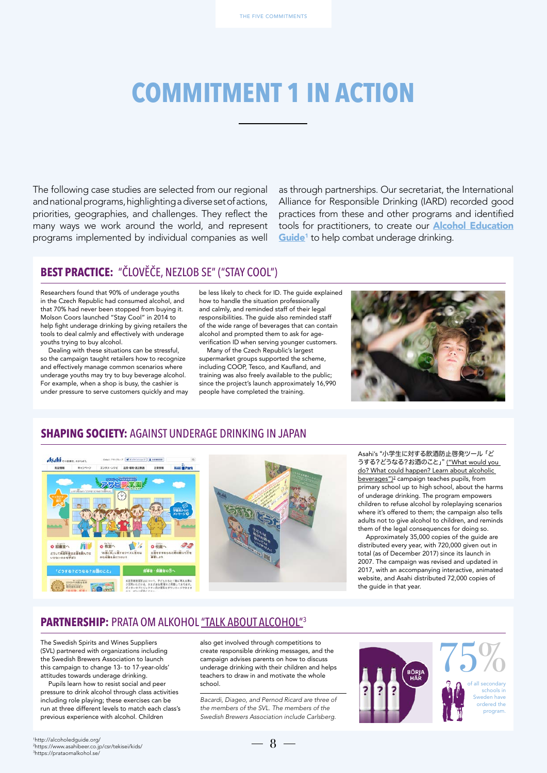## **COMMITMENT 1 IN ACTION**

The following case studies are selected from our regional and national programs, highlighting a diverse set of actions, priorities, geographies, and challenges. They reflect the many ways we work around the world, and represent programs implemented by individual companies as well

as through partnerships. Our secretariat, the International Alliance for Responsible Drinking (IARD) recorded good practices from these and other programs and identified tools for practitioners, to create our **[Alcohol Education](http://alcoholedguide.org/)** Guide<sup>1</sup> to help combat underage drinking.

#### **BEST PRACTICE:** "ČLOVĚČE, NEZLOB SE" ("STAY COOL")

Researchers found that 90% of underage youths in the Czech Republic had consumed alcohol, and that 70% had never been stopped from buying it. Molson Coors launched "Stay Cool" in 2014 to help fight underage drinking by giving retailers the tools to deal calmly and effectively with underage youths trying to buy alcohol.

Dealing with these situations can be stressful, so the campaign taught retailers how to recognize and effectively manage common scenarios where underage youths may try to buy beverage alcohol. For example, when a shop is busy, the cashier is under pressure to serve customers quickly and may be less likely to check for ID. The guide explained how to handle the situation professionally and calmly, and reminded staff of their legal responsibilities. The guide also reminded staff of the wide range of beverages that can contain alcohol and prompted them to ask for ageverification ID when serving younger customers.

Many of the Czech Republic's largest supermarket groups supported the scheme, including COOP, Tesco, and Kaufland, and training was also freely available to the public; since the project's launch approximately 16,990 people have completed the training.



#### **SHAPING SOCIETY:** AGAINST UNDERAGE DRINKING IN JAPAN





Asahi's "小学生に対する飲酒防止啓発ツール 「ど うする?どうなる?お酒のこと」" [\("What would you](https://www.asahibeer.co.jp/csr/tekisei/kids/)  [do? What could happen? Learn about alcoholic](https://www.asahibeer.co.jp/csr/tekisei/kids/)  [beverages"\)](https://www.asahibeer.co.jp/csr/tekisei/kids/) 2 campaign teaches pupils, from primary school up to high school, about the harms of underage drinking. The program empowers children to refuse alcohol by roleplaying scenarios where it's offered to them; the campaign also tells adults not to give alcohol to children, and reminds them of the legal consequences for doing so.

Approximately 35,000 copies of the guide are distributed every year, with 720,000 given out in total (as of December 2017) since its launch in 2007. The campaign was revised and updated in 2017, with an accompanying interactive, animated website, and Asahi distributed 72,000 copies of the guide in that year.

#### **PARTNERSHIP:** PRATA OM ALKOHOL ["TALK ABOUT ALCOHOL"](https://prataomalkohol.se/)<sup>3</sup>

The Swedish Spirits and Wines Suppliers (SVL) partnered with organizations including the Swedish Brewers Association to launch this campaign to change 13- to 17-year-olds' attitudes towards underage drinking.

Pupils learn how to resist social and peer pressure to drink alcohol through class activities including role playing; these exercises can be run at three different levels to match each class's previous experience with alcohol. Children

also get involved through competitions to create responsible drinking messages, and the campaign advises parents on how to discuss underage drinking with their children and helps teachers to draw in and motivate the whole school.

*Bacardi, Diageo, and Pernod Ricard are three of the members of the SVL. The members of the Swedish Brewers Association include Carlsberg.*



 $-8-$